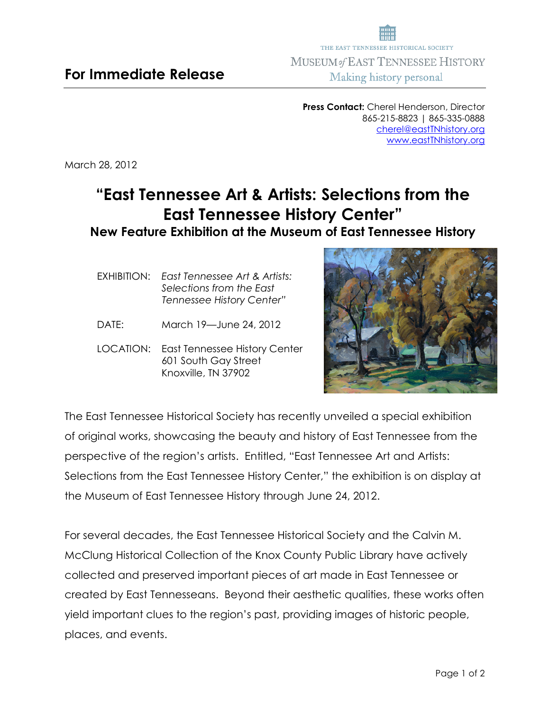**Press Contact:** Cherel Henderson, Director 865-215-8823 | 865-335-0888 cherel@eastTNhistory.org www.eastTNhistory.org

March 28, 2012

## **"East Tennessee Art & Artists: Selections from the East Tennessee History Center"**

## **New Feature Exhibition at the Museum of East Tennessee History**

- EXHIBITION:*East Tennessee Art & Artists: Selections from the East Tennessee History Center"*
- DATE: March 19—June 24, 2012
- LOCATION: East Tennessee History Center 601 South Gay Street Knoxville, TN 37902



The East Tennessee Historical Society has recently unveiled a special exhibition of original works, showcasing the beauty and history of East Tennessee from the perspective of the region's artists. Entitled, "East Tennessee Art and Artists: Selections from the East Tennessee History Center," the exhibition is on display at the Museum of East Tennessee History through June 24, 2012.

For several decades, the East Tennessee Historical Society and the Calvin M. McClung Historical Collection of the Knox County Public Library have actively collected and preserved important pieces of art made in East Tennessee or created by East Tennesseans. Beyond their aesthetic qualities, these works often yield important clues to the region's past, providing images of historic people, places, and events.